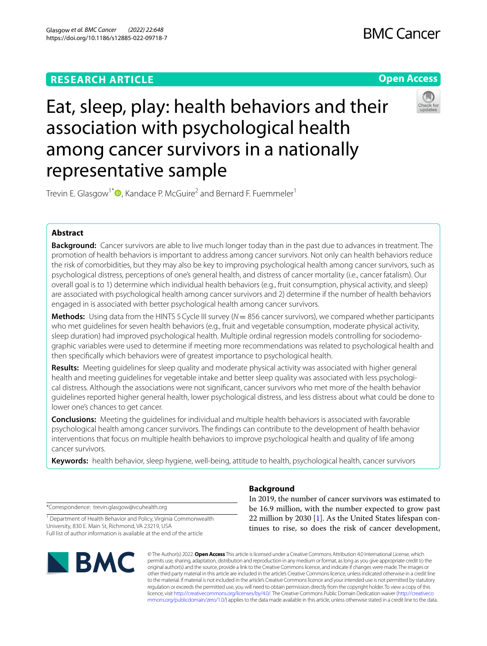# **RESEARCH ARTICLE**



# Eat, sleep, play: health behaviors and their association with psychological health among cancer survivors in a nationally representative sample



Trevin E. Glasgow<sup>1\*</sup><sup>®</sup>[,](http://orcid.org/0000-0003-2720-3425) Kandace P. McGuire<sup>2</sup> and Bernard F. Fuemmeler<sup>1</sup>

# **Abstract**

**Background:** Cancer survivors are able to live much longer today than in the past due to advances in treatment. The promotion of health behaviors is important to address among cancer survivors. Not only can health behaviors reduce the risk of comorbidities, but they may also be key to improving psychological health among cancer survivors, such as psychological distress, perceptions of one's general health, and distress of cancer mortality (i.e., cancer fatalism). Our overall goal is to 1) determine which individual health behaviors (e.g., fruit consumption, physical activity, and sleep) are associated with psychological health among cancer survivors and 2) determine if the number of health behaviors engaged in is associated with better psychological health among cancer survivors.

**Methods:** Using data from the HINTS 5Cycle III survey (*N*= 856 cancer survivors), we compared whether participants who met guidelines for seven health behaviors (e.g., fruit and vegetable consumption, moderate physical activity, sleep duration) had improved psychological health. Multiple ordinal regression models controlling for sociodemographic variables were used to determine if meeting more recommendations was related to psychological health and then specifcally which behaviors were of greatest importance to psychological health.

**Results:** Meeting guidelines for sleep quality and moderate physical activity was associated with higher general health and meeting guidelines for vegetable intake and better sleep quality was associated with less psychological distress. Although the associations were not signifcant, cancer survivors who met more of the health behavior guidelines reported higher general health, lower psychological distress, and less distress about what could be done to lower one's chances to get cancer.

**Conclusions:** Meeting the guidelines for individual and multiple health behaviors is associated with favorable psychological health among cancer survivors. The fndings can contribute to the development of health behavior interventions that focus on multiple health behaviors to improve psychological health and quality of life among cancer survivors.

**Keywords:** health behavior, sleep hygiene, well-being, attitude to health, psychological health, cancer survivors

\*Correspondence: trevin.glasgow@vcuhealth.org

<sup>1</sup> Department of Health Behavior and Policy, Virginia Commonwealth University, 830 E. Main St, Richmond, VA 23219, USA Full list of author information is available at the end of the article



# **Background**

In 2019, the number of cancer survivors was estimated to be 16.9 million, with the number expected to grow past 22 million by 2030 [\[1](#page-9-0)]. As the United States lifespan continues to rise, so does the risk of cancer development,

© The Author(s) 2022. **Open Access** This article is licensed under a Creative Commons Attribution 4.0 International License, which permits use, sharing, adaptation, distribution and reproduction in any medium or format, as long as you give appropriate credit to the original author(s) and the source, provide a link to the Creative Commons licence, and indicate if changes were made. The images or other third party material in this article are included in the article's Creative Commons licence, unless indicated otherwise in a credit line to the material. If material is not included in the article's Creative Commons licence and your intended use is not permitted by statutory regulation or exceeds the permitted use, you will need to obtain permission directly from the copyright holder. To view a copy of this licence, visit [http://creativecommons.org/licenses/by/4.0/.](http://creativecommons.org/licenses/by/4.0/) The Creative Commons Public Domain Dedication waiver ([http://creativeco](http://creativecommons.org/publicdomain/zero/1.0/) [mmons.org/publicdomain/zero/1.0/](http://creativecommons.org/publicdomain/zero/1.0/)) applies to the data made available in this article, unless otherwise stated in a credit line to the data.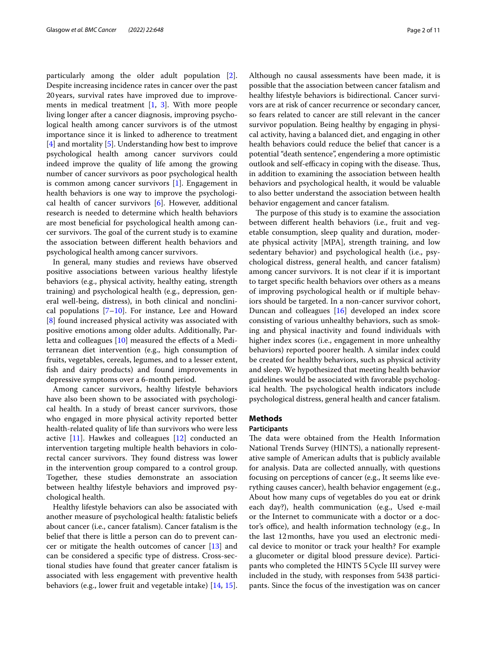particularly among the older adult population [\[2](#page-9-1)]. Despite increasing incidence rates in cancer over the past 20years, survival rates have improved due to improvements in medical treatment [[1,](#page-9-0) [3](#page-9-2)]. With more people living longer after a cancer diagnosis, improving psychological health among cancer survivors is of the utmost importance since it is linked to adherence to treatment [[4\]](#page-9-3) and mortality [\[5](#page-9-4)]. Understanding how best to improve psychological health among cancer survivors could indeed improve the quality of life among the growing number of cancer survivors as poor psychological health is common among cancer survivors [\[1](#page-9-0)]. Engagement in health behaviors is one way to improve the psychological health of cancer survivors [[6\]](#page-9-5). However, additional research is needed to determine which health behaviors are most benefcial for psychological health among cancer survivors. The goal of the current study is to examine the association between diferent health behaviors and psychological health among cancer survivors.

In general, many studies and reviews have observed positive associations between various healthy lifestyle behaviors (e.g., physical activity, healthy eating, strength training) and psychological health (e.g., depression, general well-being, distress), in both clinical and nonclinical populations  $[7-10]$  $[7-10]$ . For instance, Lee and Howard [[8\]](#page-10-2) found increased physical activity was associated with positive emotions among older adults. Additionally, Par-letta and colleagues [[10](#page-10-1)] measured the effects of a Mediterranean diet intervention (e.g., high consumption of fruits, vegetables, cereals, legumes, and to a lesser extent, fsh and dairy products) and found improvements in depressive symptoms over a 6-month period.

Among cancer survivors, healthy lifestyle behaviors have also been shown to be associated with psychological health. In a study of breast cancer survivors, those who engaged in more physical activity reported better health-related quality of life than survivors who were less active [\[11](#page-10-3)]. Hawkes and colleagues [\[12\]](#page-10-4) conducted an intervention targeting multiple health behaviors in colorectal cancer survivors. They found distress was lower in the intervention group compared to a control group. Together, these studies demonstrate an association between healthy lifestyle behaviors and improved psychological health.

Healthy lifestyle behaviors can also be associated with another measure of psychological health: fatalistic beliefs about cancer (i.e., cancer fatalism). Cancer fatalism is the belief that there is little a person can do to prevent cancer or mitigate the health outcomes of cancer [[13](#page-10-5)] and can be considered a specifc type of distress. Cross-sectional studies have found that greater cancer fatalism is associated with less engagement with preventive health behaviors (e.g., lower fruit and vegetable intake) [\[14](#page-10-6), [15](#page-10-7)]. Although no causal assessments have been made, it is possible that the association between cancer fatalism and healthy lifestyle behaviors is bidirectional. Cancer survivors are at risk of cancer recurrence or secondary cancer, so fears related to cancer are still relevant in the cancer survivor population. Being healthy by engaging in physical activity, having a balanced diet, and engaging in other health behaviors could reduce the belief that cancer is a potential "death sentence", engendering a more optimistic outlook and self-efficacy in coping with the disease. Thus, in addition to examining the association between health behaviors and psychological health, it would be valuable to also better understand the association between health behavior engagement and cancer fatalism.

The purpose of this study is to examine the association between diferent health behaviors (i.e., fruit and vegetable consumption, sleep quality and duration, moderate physical activity [MPA], strength training, and low sedentary behavior) and psychological health (i.e., psychological distress, general health, and cancer fatalism) among cancer survivors. It is not clear if it is important to target specifc health behaviors over others as a means of improving psychological health or if multiple behaviors should be targeted. In a non-cancer survivor cohort, Duncan and colleagues [\[16](#page-10-8)] developed an index score consisting of various unhealthy behaviors, such as smoking and physical inactivity and found individuals with higher index scores (i.e., engagement in more unhealthy behaviors) reported poorer health. A similar index could be created for healthy behaviors, such as physical activity and sleep. We hypothesized that meeting health behavior guidelines would be associated with favorable psychological health. The psychological health indicators include psychological distress, general health and cancer fatalism.

# **Methods**

#### **Participants**

The data were obtained from the Health Information National Trends Survey (HINTS), a nationally representative sample of American adults that is publicly available for analysis. Data are collected annually, with questions focusing on perceptions of cancer (e.g., It seems like everything causes cancer), health behavior engagement (e.g., About how many cups of vegetables do you eat or drink each day?), health communication (e.g., Used e-mail or the Internet to communicate with a doctor or a doctor's office), and health information technology (e.g., In the last 12months, have you used an electronic medical device to monitor or track your health? For example a glucometer or digital blood pressure device). Participants who completed the HINTS 5Cycle III survey were included in the study, with responses from 5438 participants. Since the focus of the investigation was on cancer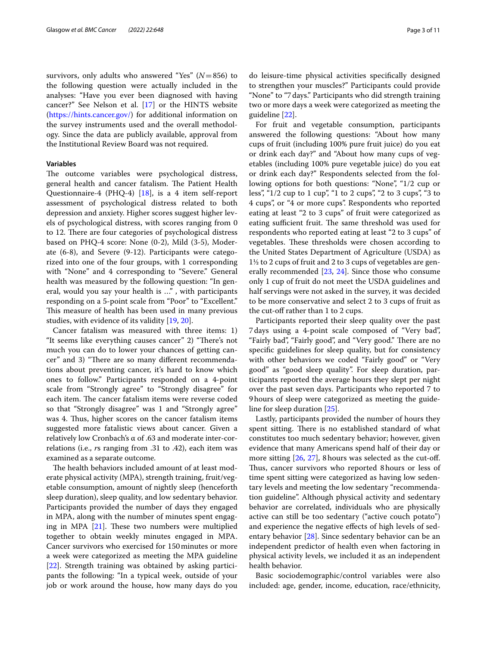survivors, only adults who answered "Yes" (*N*=856) to the following question were actually included in the analyses: "Have you ever been diagnosed with having cancer?" See Nelson et al. [[17\]](#page-10-9) or the HINTS website ([https://hints.cancer.gov/\)](https://hints.cancer.gov/) for additional information on the survey instruments used and the overall methodology. Since the data are publicly available, approval from the Institutional Review Board was not required.

## **Variables**

The outcome variables were psychological distress, general health and cancer fatalism. The Patient Health Questionnaire-4 (PHQ-4) [[18\]](#page-10-10), is a 4 item self-report assessment of psychological distress related to both depression and anxiety. Higher scores suggest higher levels of psychological distress, with scores ranging from 0 to 12. There are four categories of psychological distress based on PHQ-4 score: None (0-2), Mild (3-5), Moderate (6-8), and Severe (9-12). Participants were categorized into one of the four groups, with 1 corresponding with "None" and 4 corresponding to "Severe." General health was measured by the following question: "In general, would you say your health is …" , with participants responding on a 5-point scale from "Poor" to "Excellent." This measure of health has been used in many previous studies, with evidence of its validity [[19,](#page-10-11) [20\]](#page-10-12).

Cancer fatalism was measured with three items: 1) "It seems like everything causes cancer" 2) "There's not much you can do to lower your chances of getting cancer" and 3) "There are so many different recommendations about preventing cancer, it's hard to know which ones to follow." Participants responded on a 4-point scale from "Strongly agree" to "Strongly disagree" for each item. The cancer fatalism items were reverse coded so that "Strongly disagree" was 1 and "Strongly agree" was 4. Thus, higher scores on the cancer fatalism items suggested more fatalistic views about cancer. Given a relatively low Cronbach's α of .63 and moderate inter-correlations (i.e., *r*s ranging from .31 to .42), each item was examined as a separate outcome.

The health behaviors included amount of at least moderate physical activity (MPA), strength training, fruit/vegetable consumption, amount of nightly sleep (henceforth sleep duration), sleep quality, and low sedentary behavior. Participants provided the number of days they engaged in MPA, along with the number of minutes spent engaging in MPA  $[21]$  $[21]$ . These two numbers were multiplied together to obtain weekly minutes engaged in MPA. Cancer survivors who exercised for 150minutes or more a week were categorized as meeting the MPA guideline [[22\]](#page-10-14). Strength training was obtained by asking participants the following: "In a typical week, outside of your job or work around the house, how many days do you do leisure-time physical activities specifcally designed to strengthen your muscles?" Participants could provide "None" to "7days." Participants who did strength training two or more days a week were categorized as meeting the guideline [[22\]](#page-10-14).

For fruit and vegetable consumption, participants answered the following questions: "About how many cups of fruit (including 100% pure fruit juice) do you eat or drink each day?" and "About how many cups of vegetables (including 100% pure vegetable juice) do you eat or drink each day?" Respondents selected from the following options for both questions: "None", "1/2 cup or less", "1/2 cup to 1 cup", "1 to 2 cups", "2 to 3 cups", "3 to 4 cups", or "4 or more cups". Respondents who reported eating at least "2 to 3 cups" of fruit were categorized as eating sufficient fruit. The same threshold was used for respondents who reported eating at least "2 to 3 cups" of vegetables. These thresholds were chosen according to the United States Department of Agriculture (USDA) as 1½ to 2 cups of fruit and 2 to 3 cups of vegetables are generally recommended [\[23](#page-10-15), [24](#page-10-16)]. Since those who consume only 1 cup of fruit do not meet the USDA guidelines and half servings were not asked in the survey, it was decided to be more conservative and select 2 to 3 cups of fruit as the cut-off rather than 1 to 2 cups.

Participants reported their sleep quality over the past 7days using a 4-point scale composed of "Very bad", "Fairly bad", "Fairly good", and "Very good." There are no specifc guidelines for sleep quality, but for consistency with other behaviors we coded "Fairly good" or "Very good" as "good sleep quality". For sleep duration, participants reported the average hours they slept per night over the past seven days. Participants who reported 7 to 9hours of sleep were categorized as meeting the guideline for sleep duration [[25\]](#page-10-17).

Lastly, participants provided the number of hours they spent sitting. There is no established standard of what constitutes too much sedentary behavior; however, given evidence that many Americans spend half of their day or more sitting [\[26](#page-10-18), [27](#page-10-19)], 8 hours was selected as the cut-off. Thus, cancer survivors who reported 8 hours or less of time spent sitting were categorized as having low sedentary levels and meeting the low sedentary "recommendation guideline". Although physical activity and sedentary behavior are correlated, individuals who are physically active can still be too sedentary ("active couch potato") and experience the negative efects of high levels of sedentary behavior [\[28](#page-10-20)]. Since sedentary behavior can be an independent predictor of health even when factoring in physical activity levels, we included it as an independent health behavior.

Basic sociodemographic/control variables were also included: age, gender, income, education, race/ethnicity,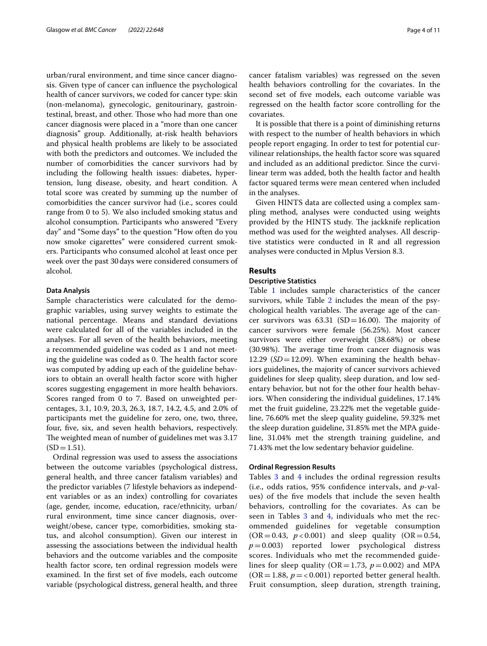urban/rural environment, and time since cancer diagnosis. Given type of cancer can infuence the psychological health of cancer survivors, we coded for cancer type: skin (non-melanoma), gynecologic, genitourinary, gastrointestinal, breast, and other. Those who had more than one cancer diagnosis were placed in a "more than one cancer diagnosis" group. Additionally, at-risk health behaviors and physical health problems are likely to be associated with both the predictors and outcomes. We included the number of comorbidities the cancer survivors had by including the following health issues: diabetes, hypertension, lung disease, obesity, and heart condition. A total score was created by summing up the number of comorbidities the cancer survivor had (i.e., scores could range from 0 to 5). We also included smoking status and alcohol consumption. Participants who answered "Every day" and "Some days" to the question "How often do you now smoke cigarettes" were considered current smokers. Participants who consumed alcohol at least once per week over the past 30days were considered consumers of alcohol.

### **Data Analysis**

Sample characteristics were calculated for the demographic variables, using survey weights to estimate the national percentage. Means and standard deviations were calculated for all of the variables included in the analyses. For all seven of the health behaviors, meeting a recommended guideline was coded as 1 and not meeting the guideline was coded as 0. The health factor score was computed by adding up each of the guideline behaviors to obtain an overall health factor score with higher scores suggesting engagement in more health behaviors. Scores ranged from 0 to 7. Based on unweighted percentages, 3.1, 10.9, 20.3, 26.3, 18.7, 14.2, 4.5, and 2.0% of participants met the guideline for zero, one, two, three, four, fve, six, and seven health behaviors, respectively. The weighted mean of number of guidelines met was 3.17  $(SD=1.51)$ .

Ordinal regression was used to assess the associations between the outcome variables (psychological distress, general health, and three cancer fatalism variables) and the predictor variables (7 lifestyle behaviors as independent variables or as an index) controlling for covariates (age, gender, income, education, race/ethnicity, urban/ rural environment, time since cancer diagnosis, overweight/obese, cancer type, comorbidities, smoking status, and alcohol consumption). Given our interest in assessing the associations between the individual health behaviors and the outcome variables and the composite health factor score, ten ordinal regression models were examined. In the frst set of fve models, each outcome variable (psychological distress, general health, and three cancer fatalism variables) was regressed on the seven health behaviors controlling for the covariates. In the second set of fve models, each outcome variable was regressed on the health factor score controlling for the covariates.

It is possible that there is a point of diminishing returns with respect to the number of health behaviors in which people report engaging. In order to test for potential curvilinear relationships, the health factor score was squared and included as an additional predictor. Since the curvilinear term was added, both the health factor and health factor squared terms were mean centered when included in the analyses.

Given HINTS data are collected using a complex sampling method, analyses were conducted using weights provided by the HINTS study. The jackknife replication method was used for the weighted analyses. All descriptive statistics were conducted in R and all regression analyses were conducted in Mplus Version 8.3.

# **Results**

## **Descriptive Statistics**

Table [1](#page-4-0) includes sample characteristics of the cancer survivors, while Table  $2$  includes the mean of the psychological health variables. The average age of the cancer survivors was  $63.31$  (SD=16.00). The majority of cancer survivors were female (56.25%). Most cancer survivors were either overweight (38.68%) or obese (30.98%). The average time from cancer diagnosis was 12.29 (*SD*=12.09). When examining the health behaviors guidelines, the majority of cancer survivors achieved guidelines for sleep quality, sleep duration, and low sedentary behavior, but not for the other four health behaviors. When considering the individual guidelines, 17.14% met the fruit guideline, 23.22% met the vegetable guideline, 76.60% met the sleep quality guideline, 59.32% met the sleep duration guideline, 31.85% met the MPA guideline, 31.04% met the strength training guideline, and 71.43% met the low sedentary behavior guideline.

## **Ordinal Regression Results**

Tables [3](#page-5-0) and [4](#page-6-0) includes the ordinal regression results (i.e., odds ratios, 95% confdence intervals, and *p*-values) of the fve models that include the seven health behaviors, controlling for the covariates. As can be seen in Tables [3](#page-5-0) and [4](#page-6-0), individuals who met the recommended guidelines for vegetable consumption  $(OR = 0.43, p < 0.001)$  and sleep quality  $(OR = 0.54,$ *p*=0.003) reported lower psychological distress scores. Individuals who met the recommended guidelines for sleep quality ( $OR = 1.73$ ,  $p = 0.002$ ) and MPA  $(OR = 1.88, p = 0.001)$  reported better general health. Fruit consumption, sleep duration, strength training,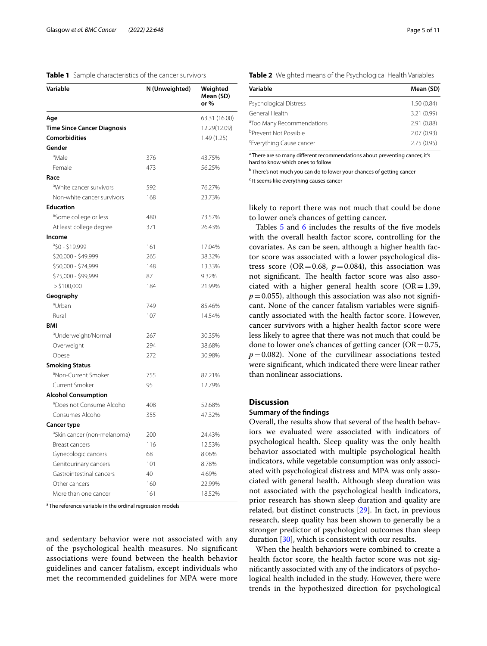## <span id="page-4-0"></span>**Table 1** Sample characteristics of the cancer survivors

| Variable                                | N (Unweighted) | Weighted<br>Mean (SD)<br>or% |
|-----------------------------------------|----------------|------------------------------|
| Age                                     |                | 63.31 (16.00)                |
| <b>Time Since Cancer Diagnosis</b>      |                | 12.29(12.09)                 |
| <b>Comorbidities</b>                    |                | 1.49 (1.25)                  |
| Gender                                  |                |                              |
| <sup>a</sup> Male                       | 376            | 43.75%                       |
| Female                                  | 473            | 56.25%                       |
| Race                                    |                |                              |
| <sup>a</sup> White cancer survivors     | 592            | 76.27%                       |
| Non-white cancer survivors              | 168            | 23.73%                       |
| <b>Education</b>                        |                |                              |
| <sup>a</sup> Some college or less       | 480            | 73.57%                       |
| At least college degree                 | 371            | 26.43%                       |
| Income                                  |                |                              |
| $850 - 19,999$                          | 161            | 17.04%                       |
| \$20,000 - \$49,999                     | 265            | 38.32%                       |
| \$50,000 - \$74,999                     | 148            | 13.33%                       |
| \$75,000 - \$99,999                     | 87             | 9.32%                        |
| $>$ \$100,000                           | 184            | 21.99%                       |
| Geography                               |                |                              |
| <sup>a</sup> Urban                      | 749            | 85.46%                       |
| Rural                                   | 107            | 14.54%                       |
| <b>BMI</b>                              |                |                              |
| <sup>a</sup> Underweight/Normal         | 267            | 30.35%                       |
| Overweight                              | 294            | 38.68%                       |
| Obese                                   | 272            | 30.98%                       |
| <b>Smoking Status</b>                   |                |                              |
| <sup>a</sup> Non-Current Smoker         | 755            | 87.21%                       |
| Current Smoker                          | 95             | 12.79%                       |
| <b>Alcohol Consumption</b>              |                |                              |
| <sup>a</sup> Does not Consume Alcohol   | 408            | 52.68%                       |
| Consumes Alcohol                        | 355            | 47.32%                       |
| <b>Cancer type</b>                      |                |                              |
| <sup>a</sup> Skin cancer (non-melanoma) | 200            | 24.43%                       |
| Breast cancers                          | 116            | 12.53%                       |
| Gynecologic cancers                     | 68             | 8.06%                        |
| Genitourinary cancers                   | 101            | 8.78%                        |
| Gastrointestinal cancers                | 40             | 4.69%                        |
| Other cancers                           | 160            | 22.99%                       |
| More than one cancer                    | 161            | 18.52%                       |

<sup>a</sup> The reference variable in the ordinal regression models

and sedentary behavior were not associated with any of the psychological health measures. No signifcant associations were found between the health behavior guidelines and cancer fatalism, except individuals who met the recommended guidelines for MPA were more

<span id="page-4-1"></span>

|  | Table 2 Weighted means of the Psychological Health Variables |
|--|--------------------------------------------------------------|
|--|--------------------------------------------------------------|

| Variable                              | Mean (SD)   |
|---------------------------------------|-------------|
| Psychological Distress                | 1.50(0.84)  |
| General Health                        | 3.21 (0.99) |
| <sup>a</sup> Too Many Recommendations | 2.91(0.88)  |
| <sup>b</sup> Prevent Not Possible     | 2.07(0.93)  |
| <sup>c</sup> Everything Cause cancer  | 2.75(0.95)  |

<sup>a</sup> There are so many different recommendations about preventing cancer, it's hard to know which ones to follow

**b** There's not much you can do to lower your chances of getting cancer

<sup>c</sup> It seems like everything causes cancer

likely to report there was not much that could be done to lower one's chances of getting cancer.

Tables [5](#page-7-0) and [6](#page-8-0) includes the results of the five models with the overall health factor score, controlling for the covariates. As can be seen, although a higher health factor score was associated with a lower psychological distress score ( $OR = 0.68$ ,  $p = 0.084$ ), this association was not significant. The health factor score was also associated with a higher general health score  $(OR=1.39,$  $p=0.055$ ), although this association was also not significant. None of the cancer fatalism variables were signifcantly associated with the health factor score. However, cancer survivors with a higher health factor score were less likely to agree that there was not much that could be done to lower one's chances of getting cancer ( $OR = 0.75$ ,  $p=0.082$ ). None of the curvilinear associations tested were signifcant, which indicated there were linear rather than nonlinear associations.

#### **Discussion**

# **Summary of the fndings**

Overall, the results show that several of the health behaviors we evaluated were associated with indicators of psychological health. Sleep quality was the only health behavior associated with multiple psychological health indicators, while vegetable consumption was only associated with psychological distress and MPA was only associated with general health. Although sleep duration was not associated with the psychological health indicators, prior research has shown sleep duration and quality are related, but distinct constructs [[29\]](#page-10-21). In fact, in previous research, sleep quality has been shown to generally be a stronger predictor of psychological outcomes than sleep duration [\[30](#page-10-22)], which is consistent with our results.

When the health behaviors were combined to create a health factor score, the health factor score was not signifcantly associated with any of the indicators of psychological health included in the study. However, there were trends in the hypothesized direction for psychological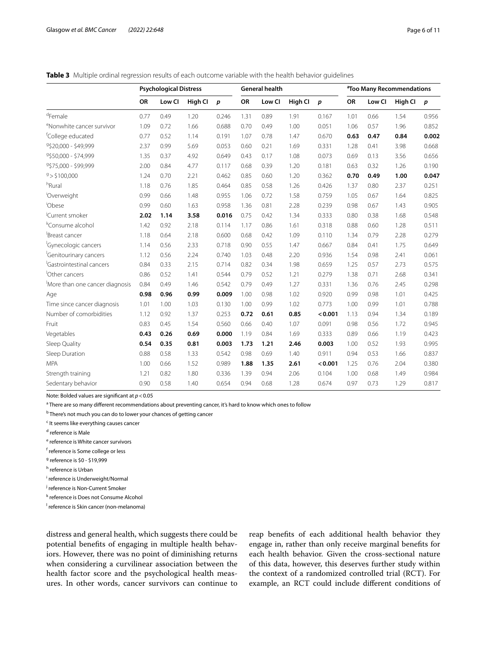<span id="page-5-0"></span>**Table 3** Multiple ordinal regression results of each outcome variable with the health behavior guidelines

|                                       | <b>Psychological Distress</b> |        |         |       | <b>General health</b> |        |         |         | <sup>a</sup> Too Many Recommendations |        |         |                  |
|---------------------------------------|-------------------------------|--------|---------|-------|-----------------------|--------|---------|---------|---------------------------------------|--------|---------|------------------|
|                                       | OR                            | Low Cl | High Cl | p     | OR                    | Low CI | High Cl | p       | OR                                    | Low CI | High Cl | $\boldsymbol{p}$ |
| <sup>d</sup> Female                   | 0.77                          | 0.49   | 1.20    | 0.246 | 1.31                  | 0.89   | 1.91    | 0.167   | 1.01                                  | 0.66   | 1.54    | 0.956            |
| <sup>e</sup> Nonwhite cancer survivor | 1.09                          | 0.72   | 1.66    | 0.688 | 0.70                  | 0.49   | 1.00    | 0.051   | 1.06                                  | 0.57   | 1.96    | 0.852            |
| <sup>f</sup> College educated         | 0.77                          | 0.52   | 1.14    | 0.191 | 1.07                  | 0.78   | 1.47    | 0.670   | 0.63                                  | 0.47   | 0.84    | 0.002            |
| 9\$20,000 - \$49,999                  | 2.37                          | 0.99   | 5.69    | 0.053 | 0.60                  | 0.21   | 1.69    | 0.331   | 1.28                                  | 0.41   | 3.98    | 0.668            |
| 9\$50,000 - \$74,999                  | 1.35                          | 0.37   | 4.92    | 0.649 | 0.43                  | 0.17   | 1.08    | 0.073   | 0.69                                  | 0.13   | 3.56    | 0.656            |
| 9\$75,000 - \$99,999                  | 2.00                          | 0.84   | 4.77    | 0.117 | 0.68                  | 0.39   | 1.20    | 0.181   | 0.63                                  | 0.32   | 1.26    | 0.190            |
| 9 > \$100.000                         | 1.24                          | 0.70   | 2.21    | 0.462 | 0.85                  | 0.60   | 1.20    | 0.362   | 0.70                                  | 0.49   | 1.00    | 0.047            |
| <sup>h</sup> Rural                    | 1.18                          | 0.76   | 1.85    | 0.464 | 0.85                  | 0.58   | 1.26    | 0.426   | 1.37                                  | 0.80   | 2.37    | 0.251            |
| Overweight                            | 0.99                          | 0.66   | 1.48    | 0.955 | 1.06                  | 0.72   | 1.58    | 0.759   | 1.05                                  | 0.67   | 1.64    | 0.825            |
| <sup>i</sup> Obese                    | 0.99                          | 0.60   | 1.63    | 0.958 | 1.36                  | 0.81   | 2.28    | 0.239   | 0.98                                  | 0.67   | 1.43    | 0.905            |
| <sup>J</sup> Current smoker           | 2.02                          | 1.14   | 3.58    | 0.016 | 0.75                  | 0.42   | 1.34    | 0.333   | 0.80                                  | 0.38   | 1.68    | 0.548            |
| <sup>k</sup> Consume alcohol          | 1.42                          | 0.92   | 2.18    | 0.114 | 1.17                  | 0.86   | 1.61    | 0.318   | 0.88                                  | 0.60   | 1.28    | 0.511            |
| Breast cancer                         | 1.18                          | 0.64   | 2.18    | 0.600 | 0.68                  | 0.42   | 1.09    | 0.110   | 1.34                                  | 0.79   | 2.28    | 0.279            |
| <sup>I</sup> Gynecologic cancers      | 1.14                          | 0.56   | 2.33    | 0.718 | 0.90                  | 0.55   | 1.47    | 0.667   | 0.84                                  | 0.41   | 1.75    | 0.649            |
| <sup>I</sup> Genitourinary cancers    | 1.12                          | 0.56   | 2.24    | 0.740 | 1.03                  | 0.48   | 2.20    | 0.936   | 1.54                                  | 0.98   | 2.41    | 0.061            |
| <sup>I</sup> Gastrointestinal cancers | 0.84                          | 0.33   | 2.15    | 0.714 | 0.82                  | 0.34   | 1.98    | 0.659   | 1.25                                  | 0.57   | 2.73    | 0.575            |
| Other cancers                         | 0.86                          | 0.52   | 1.41    | 0.544 | 0.79                  | 0.52   | 1.21    | 0.279   | 1.38                                  | 0.71   | 2.68    | 0.341            |
| More than one cancer diagnosis        | 0.84                          | 0.49   | 1.46    | 0.542 | 0.79                  | 0.49   | 1.27    | 0.331   | 1.36                                  | 0.76   | 2.45    | 0.298            |
| Age                                   | 0.98                          | 0.96   | 0.99    | 0.009 | 1.00                  | 0.98   | 1.02    | 0.920   | 0.99                                  | 0.98   | 1.01    | 0.425            |
| Time since cancer diagnosis           | 1.01                          | 1.00   | 1.03    | 0.130 | 1.00                  | 0.99   | 1.02    | 0.773   | 1.00                                  | 0.99   | 1.01    | 0.788            |
| Number of comorbidities               | 1.12                          | 0.92   | 1.37    | 0.253 | 0.72                  | 0.61   | 0.85    | < 0.001 | 1.13                                  | 0.94   | 1.34    | 0.189            |
| Fruit                                 | 0.83                          | 0.45   | 1.54    | 0.560 | 0.66                  | 0.40   | 1.07    | 0.091   | 0.98                                  | 0.56   | 1.72    | 0.945            |
| Vegetables                            | 0.43                          | 0.26   | 0.69    | 0.000 | 1.19                  | 0.84   | 1.69    | 0.333   | 0.89                                  | 0.66   | 1.19    | 0.423            |
| Sleep Quality                         | 0.54                          | 0.35   | 0.81    | 0.003 | 1.73                  | 1.21   | 2.46    | 0.003   | 1.00                                  | 0.52   | 1.93    | 0.995            |
| Sleep Duration                        | 0.88                          | 0.58   | 1.33    | 0.542 | 0.98                  | 0.69   | 1.40    | 0.911   | 0.94                                  | 0.53   | 1.66    | 0.837            |
| <b>MPA</b>                            | 1.00                          | 0.66   | 1.52    | 0.989 | 1.88                  | 1.35   | 2.61    | < 0.001 | 1.25                                  | 0.76   | 2.04    | 0.380            |
| Strength training                     | 1.21                          | 0.82   | 1.80    | 0.336 | 1.39                  | 0.94   | 2.06    | 0.104   | 1.00                                  | 0.68   | 1.49    | 0.984            |
| Sedentary behavior                    | 0.90                          | 0.58   | 1.40    | 0.654 | 0.94                  | 0.68   | 1.28    | 0.674   | 0.97                                  | 0.73   | 1.29    | 0.817            |

Note: Bolded values are signifcant at *p*<0.05

<sup>a</sup> There are so many different recommendations about preventing cancer, it's hard to know which ones to follow

<sup>b</sup> There's not much you can do to lower your chances of getting cancer

<sup>c</sup> It seems like everything causes cancer

<sup>d</sup> reference is Male

<sup>e</sup> reference is White cancer survivors

f reference is Some college or less

<sup>g</sup> reference is \$0 - \$19,999

<sup>h</sup> reference is Urban

i reference is Underweight/Normal

<sup>j</sup> reference is Non-Current Smoker

k reference is Does not Consume Alcohol

<sup>I</sup> reference is Skin cancer (non-melanoma)

distress and general health, which suggests there could be potential benefts of engaging in multiple health behaviors. However, there was no point of diminishing returns when considering a curvilinear association between the health factor score and the psychological health measures. In other words, cancer survivors can continue to reap benefts of each additional health behavior they engage in, rather than only receive marginal benefts for each health behavior. Given the cross-sectional nature of this data, however, this deserves further study within the context of a randomized controlled trial (RCT). For example, an RCT could include diferent conditions of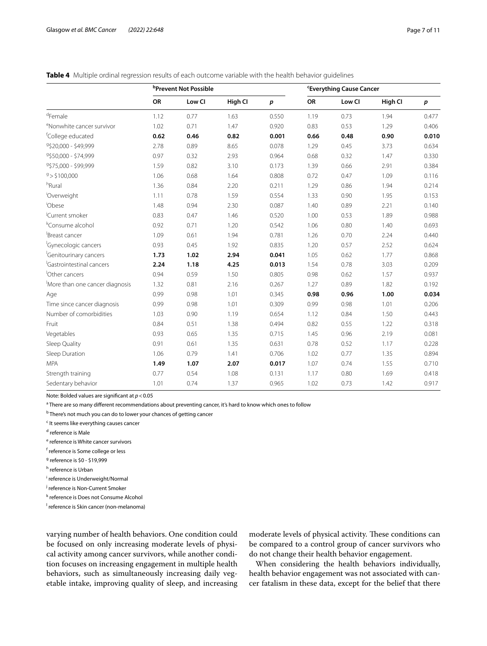<span id="page-6-0"></span>

|  | <b>Table 4</b> Multiple ordinal regression results of each outcome variable with the health behavior quidelines |  |  |  |  |  |  |  |  |
|--|-----------------------------------------------------------------------------------------------------------------|--|--|--|--|--|--|--|--|
|--|-----------------------------------------------------------------------------------------------------------------|--|--|--|--|--|--|--|--|

|                                       |      | <sup>b</sup> Prevent Not Possible |         | <b>'Everything Cause Cancer</b> |      |        |         |                  |
|---------------------------------------|------|-----------------------------------|---------|---------------------------------|------|--------|---------|------------------|
|                                       | OR   | Low CI                            | High Cl | $\boldsymbol{p}$                | OR   | Low CI | High CI | $\boldsymbol{p}$ |
| $d$ Female                            | 1.12 | 0.77                              | 1.63    | 0.550                           | 1.19 | 0.73   | 1.94    | 0.477            |
| <sup>e</sup> Nonwhite cancer survivor | 1.02 | 0.71                              | 1.47    | 0.920                           | 0.83 | 0.53   | 1.29    | 0.406            |
| <sup>f</sup> College educated         | 0.62 | 0.46                              | 0.82    | 0.001                           | 0.66 | 0.48   | 0.90    | 0.010            |
| 9\$20,000 - \$49,999                  | 2.78 | 0.89                              | 8.65    | 0.078                           | 1.29 | 0.45   | 3.73    | 0.634            |
| 9\$50,000 - \$74,999                  | 0.97 | 0.32                              | 2.93    | 0.964                           | 0.68 | 0.32   | 1.47    | 0.330            |
| 9\$75,000 - \$99,999                  | 1.59 | 0.82                              | 3.10    | 0.173                           | 1.39 | 0.66   | 2.91    | 0.384            |
| 9 > \$100,000                         | 1.06 | 0.68                              | 1.64    | 0.808                           | 0.72 | 0.47   | 1.09    | 0.116            |
| hRural                                | 1.36 | 0.84                              | 2.20    | 0.211                           | 1.29 | 0.86   | 1.94    | 0.214            |
| Overweight                            | 1.11 | 0.78                              | 1.59    | 0.554                           | 1.33 | 0.90   | 1.95    | 0.153            |
| <sup>i</sup> Obese                    | 1.48 | 0.94                              | 2.30    | 0.087                           | 1.40 | 0.89   | 2.21    | 0.140            |
| Current smoker                        | 0.83 | 0.47                              | 1.46    | 0.520                           | 1.00 | 0.53   | 1.89    | 0.988            |
| <sup>k</sup> Consume alcohol          | 0.92 | 0.71                              | 1.20    | 0.542                           | 1.06 | 0.80   | 1.40    | 0.693            |
| Breast cancer                         | 1.09 | 0.61                              | 1.94    | 0.781                           | 1.26 | 0.70   | 2.24    | 0.440            |
| <sup>I</sup> Gynecologic cancers      | 0.93 | 0.45                              | 1.92    | 0.835                           | 1.20 | 0.57   | 2.52    | 0.624            |
| <sup>I</sup> Genitourinary cancers    | 1.73 | 1.02                              | 2.94    | 0.041                           | 1.05 | 0.62   | 1.77    | 0.868            |
| <sup>I</sup> Gastrointestinal cancers | 2.24 | 1.18                              | 4.25    | 0.013                           | 1.54 | 0.78   | 3.03    | 0.209            |
| Other cancers                         | 0.94 | 0.59                              | 1.50    | 0.805                           | 0.98 | 0.62   | 1.57    | 0.937            |
| More than one cancer diagnosis        | 1.32 | 0.81                              | 2.16    | 0.267                           | 1.27 | 0.89   | 1.82    | 0.192            |
| Age                                   | 0.99 | 0.98                              | 1.01    | 0.345                           | 0.98 | 0.96   | 1.00    | 0.034            |
| Time since cancer diagnosis           | 0.99 | 0.98                              | 1.01    | 0.309                           | 0.99 | 0.98   | 1.01    | 0.206            |
| Number of comorbidities               | 1.03 | 0.90                              | 1.19    | 0.654                           | 1.12 | 0.84   | 1.50    | 0.443            |
| Fruit                                 | 0.84 | 0.51                              | 1.38    | 0.494                           | 0.82 | 0.55   | 1.22    | 0.318            |
| Vegetables                            | 0.93 | 0.65                              | 1.35    | 0.715                           | 1.45 | 0.96   | 2.19    | 0.081            |
| Sleep Quality                         | 0.91 | 0.61                              | 1.35    | 0.631                           | 0.78 | 0.52   | 1.17    | 0.228            |
| Sleep Duration                        | 1.06 | 0.79                              | 1.41    | 0.706                           | 1.02 | 0.77   | 1.35    | 0.894            |
| <b>MPA</b>                            | 1.49 | 1.07                              | 2.07    | 0.017                           | 1.07 | 0.74   | 1.55    | 0.710            |
| Strength training                     | 0.77 | 0.54                              | 1.08    | 0.131                           | 1.17 | 0.80   | 1.69    | 0.418            |
| Sedentary behavior                    | 1.01 | 0.74                              | 1.37    | 0.965                           | 1.02 | 0.73   | 1.42    | 0.917            |

Note: Bolded values are signifcant at *p*<0.05

<sup>a</sup> There are so many different recommendations about preventing cancer, it's hard to know which ones to follow

<sup>b</sup> There's not much you can do to lower your chances of getting cancer

<sup>c</sup> It seems like everything causes cancer

<sup>d</sup> reference is Male

<sup>e</sup> reference is White cancer survivors

f reference is Some college or less

<sup>g</sup> reference is \$0 - \$19,999

<sup>h</sup> reference is Urban

i reference is Underweight/Normal

<sup>j</sup> reference is Non-Current Smoker

k reference is Does not Consume Alcohol

<sup>I</sup> reference is Skin cancer (non-melanoma)

varying number of health behaviors. One condition could be focused on only increasing moderate levels of physical activity among cancer survivors, while another condition focuses on increasing engagement in multiple health behaviors, such as simultaneously increasing daily vegetable intake, improving quality of sleep, and increasing moderate levels of physical activity. These conditions can be compared to a control group of cancer survivors who do not change their health behavior engagement.

When considering the health behaviors individually, health behavior engagement was not associated with cancer fatalism in these data, except for the belief that there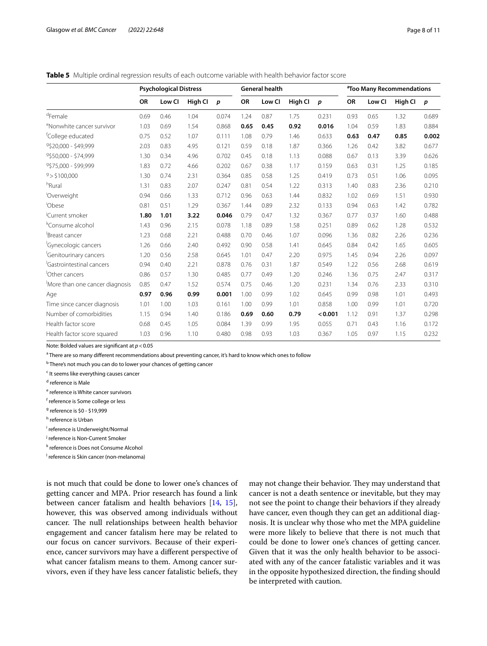## <span id="page-7-0"></span>**Table 5** Multiple ordinal regression results of each outcome variable with health behavior factor score

|                                       | <b>Psychological Distress</b> |        |         |                  | <b>General health</b> |        |         |                  | <sup>a</sup> Too Many Recommendations |        |         |                  |
|---------------------------------------|-------------------------------|--------|---------|------------------|-----------------------|--------|---------|------------------|---------------------------------------|--------|---------|------------------|
|                                       | <b>OR</b>                     | Low Cl | High Cl | $\boldsymbol{p}$ | OR                    | Low CI | High Cl | $\boldsymbol{p}$ | OR                                    | Low CI | High Cl | $\boldsymbol{p}$ |
| <sup>d</sup> Female                   | 0.69                          | 0.46   | 1.04    | 0.074            | 1.24                  | 0.87   | 1.75    | 0.231            | 0.93                                  | 0.65   | 1.32    | 0.689            |
| <sup>e</sup> Nonwhite cancer survivor | 1.03                          | 0.69   | 1.54    | 0.868            | 0.65                  | 0.45   | 0.92    | 0.016            | 1.04                                  | 0.59   | 1.83    | 0.884            |
| <sup>f</sup> College educated         | 0.75                          | 0.52   | 1.07    | 0.111            | 1.08                  | 0.79   | 1.46    | 0.633            | 0.63                                  | 0.47   | 0.85    | 0.002            |
| 9\$20.000 - \$49.999                  | 2.03                          | 0.83   | 4.95    | 0.121            | 0.59                  | 0.18   | 1.87    | 0.366            | 1.26                                  | 0.42   | 3.82    | 0.677            |
| 9\$50.000 - \$74.999                  | 1.30                          | 0.34   | 4.96    | 0.702            | 0.45                  | 0.18   | 1.13    | 0.088            | 0.67                                  | 0.13   | 3.39    | 0.626            |
| 9\$75,000 - \$99,999                  | 1.83                          | 0.72   | 4.66    | 0.202            | 0.67                  | 0.38   | 1.17    | 0.159            | 0.63                                  | 0.31   | 1.25    | 0.185            |
| 9 > \$100.000                         | 1.30                          | 0.74   | 2.31    | 0.364            | 0.85                  | 0.58   | 1.25    | 0.419            | 0.73                                  | 0.51   | 1.06    | 0.095            |
| <sup>h</sup> Rural                    | 1.31                          | 0.83   | 2.07    | 0.247            | 0.81                  | 0.54   | 1.22    | 0.313            | 1.40                                  | 0.83   | 2.36    | 0.210            |
| 'Overweight                           | 0.94                          | 0.66   | 1.33    | 0.712            | 0.96                  | 0.63   | 1.44    | 0.832            | 1.02                                  | 0.69   | 1.51    | 0.930            |
| <sup>i</sup> Obese                    | 0.81                          | 0.51   | 1.29    | 0.367            | 1.44                  | 0.89   | 2.32    | 0.133            | 0.94                                  | 0.63   | 1.42    | 0.782            |
| <sup>J</sup> Current smoker           | 1.80                          | 1.01   | 3.22    | 0.046            | 0.79                  | 0.47   | 1.32    | 0.367            | 0.77                                  | 0.37   | 1.60    | 0.488            |
| <sup>k</sup> Consume alcohol          | 1.43                          | 0.96   | 2.15    | 0.078            | 1.18                  | 0.89   | 1.58    | 0.251            | 0.89                                  | 0.62   | 1.28    | 0.532            |
| Breast cancer                         | 1.23                          | 0.68   | 2.21    | 0.488            | 0.70                  | 0.46   | 1.07    | 0.096            | 1.36                                  | 0.82   | 2.26    | 0.236            |
| <sup>I</sup> Gynecologic cancers      | 1.26                          | 0.66   | 2.40    | 0.492            | 0.90                  | 0.58   | 1.41    | 0.645            | 0.84                                  | 0.42   | 1.65    | 0.605            |
| <sup>I</sup> Genitourinary cancers    | 1.20                          | 0.56   | 2.58    | 0.645            | 1.01                  | 0.47   | 2.20    | 0.975            | 1.45                                  | 0.94   | 2.26    | 0.097            |
| 'Gastrointestinal cancers             | 0.94                          | 0.40   | 2.21    | 0.878            | 0.76                  | 0.31   | 1.87    | 0.549            | 1.22                                  | 0.56   | 2.68    | 0.619            |
| Other cancers                         | 0.86                          | 0.57   | 1.30    | 0.485            | 0.77                  | 0.49   | 1.20    | 0.246            | 1.36                                  | 0.75   | 2.47    | 0.317            |
| More than one cancer diagnosis        | 0.85                          | 0.47   | 1.52    | 0.574            | 0.75                  | 0.46   | 1.20    | 0.231            | 1.34                                  | 0.76   | 2.33    | 0.310            |
| Age                                   | 0.97                          | 0.96   | 0.99    | 0.001            | 1.00                  | 0.99   | 1.02    | 0.645            | 0.99                                  | 0.98   | 1.01    | 0.493            |
| Time since cancer diagnosis           | 1.01                          | 1.00   | 1.03    | 0.161            | 1.00                  | 0.99   | 1.01    | 0.858            | 1.00                                  | 0.99   | 1.01    | 0.720            |
| Number of comorbidities               | 1.15                          | 0.94   | 1.40    | 0.186            | 0.69                  | 0.60   | 0.79    | < 0.001          | 1.12                                  | 0.91   | 1.37    | 0.298            |
| Health factor score                   | 0.68                          | 0.45   | 1.05    | 0.084            | 1.39                  | 0.99   | 1.95    | 0.055            | 0.71                                  | 0.43   | 1.16    | 0.172            |
| Health factor score squared           | 1.03                          | 0.96   | 1.10    | 0.480            | 0.98                  | 0.93   | 1.03    | 0.367            | 1.05                                  | 0.97   | 1.15    | 0.232            |

Note: Bolded values are signifcant at *p*<0.05

<sup>a</sup> There are so many different recommendations about preventing cancer, it's hard to know which ones to follow

<sup>b</sup> There's not much you can do to lower your chances of getting cancer

<sup>c</sup> It seems like everything causes cancer

<sup>d</sup> reference is Male

<sup>e</sup> reference is White cancer survivors

f reference is Some college or less

<sup>g</sup> reference is \$0 - \$19,999

<sup>h</sup> reference is Urban

i reference is Underweight/Normal

<sup>j</sup> reference is Non-Current Smoker

k reference is Does not Consume Alcohol

l reference is Skin cancer (non-melanoma)

is not much that could be done to lower one's chances of getting cancer and MPA. Prior research has found a link between cancer fatalism and health behaviors [\[14,](#page-10-6) [15](#page-10-7)], however, this was observed among individuals without cancer. The null relationships between health behavior engagement and cancer fatalism here may be related to our focus on cancer survivors. Because of their experience, cancer survivors may have a diferent perspective of what cancer fatalism means to them. Among cancer survivors, even if they have less cancer fatalistic beliefs, they

may not change their behavior. They may understand that cancer is not a death sentence or inevitable, but they may not see the point to change their behaviors if they already have cancer, even though they can get an additional diagnosis. It is unclear why those who met the MPA guideline were more likely to believe that there is not much that could be done to lower one's chances of getting cancer. Given that it was the only health behavior to be associated with any of the cancer fatalistic variables and it was in the opposite hypothesized direction, the fnding should be interpreted with caution.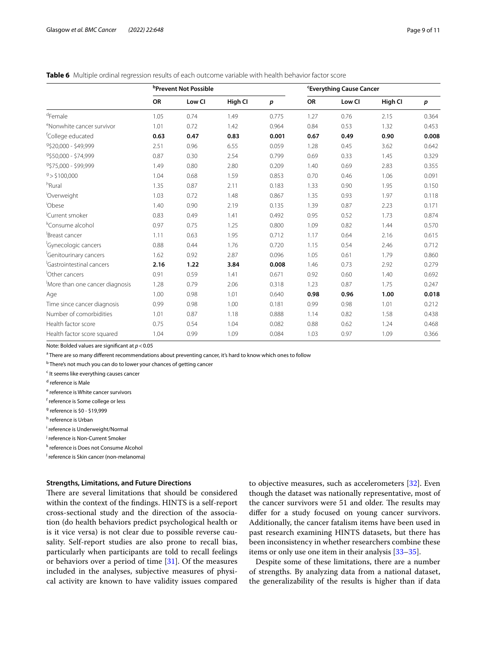## <span id="page-8-0"></span>**Table 6** Multiple ordinal regression results of each outcome variable with health behavior factor score

|                                       |      | <b><i>b</i>Prevent Not Possible</b> |         | <b>'Everything Cause Cancer</b> |      |        |         |       |
|---------------------------------------|------|-------------------------------------|---------|---------------------------------|------|--------|---------|-------|
|                                       | OR   | Low CI                              | High Cl | p                               | OR   | Low Cl | High CI | p     |
| <sup>d</sup> Female                   | 1.05 | 0.74                                | 1.49    | 0.775                           | 1.27 | 0.76   | 2.15    | 0.364 |
| <sup>e</sup> Nonwhite cancer survivor | 1.01 | 0.72                                | 1.42    | 0.964                           | 0.84 | 0.53   | 1.32    | 0.453 |
| <sup>†</sup> College educated         | 0.63 | 0.47                                | 0.83    | 0.001                           | 0.67 | 0.49   | 0.90    | 0.008 |
| 9\$20,000 - \$49,999                  | 2.51 | 0.96                                | 6.55    | 0.059                           | 1.28 | 0.45   | 3.62    | 0.642 |
| 9\$50,000 - \$74,999                  | 0.87 | 0.30                                | 2.54    | 0.799                           | 0.69 | 0.33   | 1.45    | 0.329 |
| 9\$75,000 - \$99,999                  | 1.49 | 0.80                                | 2.80    | 0.209                           | 1.40 | 0.69   | 2.83    | 0.355 |
| 9 > \$100,000                         | 1.04 | 0.68                                | 1.59    | 0.853                           | 0.70 | 0.46   | 1.06    | 0.091 |
| <sup>h</sup> Rural                    | 1.35 | 0.87                                | 2.11    | 0.183                           | 1.33 | 0.90   | 1.95    | 0.150 |
| Overweight                            | 1.03 | 0.72                                | 1.48    | 0.867                           | 1.35 | 0.93   | 1.97    | 0.118 |
| Obese                                 | 1.40 | 0.90                                | 2.19    | 0.135                           | 1.39 | 0.87   | 2.23    | 0.171 |
| Current smoker                        | 0.83 | 0.49                                | 1.41    | 0.492                           | 0.95 | 0.52   | 1.73    | 0.874 |
| <sup>k</sup> Consume alcohol          | 0.97 | 0.75                                | 1.25    | 0.800                           | 1.09 | 0.82   | 1.44    | 0.570 |
| Breast cancer                         | 1.11 | 0.63                                | 1.95    | 0.712                           | 1.17 | 0.64   | 2.16    | 0.615 |
| <sup>I</sup> Gynecologic cancers      | 0.88 | 0.44                                | 1.76    | 0.720                           | 1.15 | 0.54   | 2.46    | 0.712 |
| <sup>I</sup> Genitourinary cancers    | 1.62 | 0.92                                | 2.87    | 0.096                           | 1.05 | 0.61   | 1.79    | 0.860 |
| <sup>I</sup> Gastrointestinal cancers | 2.16 | 1.22                                | 3.84    | 0.008                           | 1.46 | 0.73   | 2.92    | 0.279 |
| Other cancers                         | 0.91 | 0.59                                | 1.41    | 0.671                           | 0.92 | 0.60   | 1.40    | 0.692 |
| More than one cancer diagnosis        | 1.28 | 0.79                                | 2.06    | 0.318                           | 1.23 | 0.87   | 1.75    | 0.247 |
| Age                                   | 1.00 | 0.98                                | 1.01    | 0.640                           | 0.98 | 0.96   | 1.00    | 0.018 |
| Time since cancer diagnosis           | 0.99 | 0.98                                | 1.00    | 0.181                           | 0.99 | 0.98   | 1.01    | 0.212 |
| Number of comorbidities               | 1.01 | 0.87                                | 1.18    | 0.888                           | 1.14 | 0.82   | 1.58    | 0.438 |
| Health factor score                   | 0.75 | 0.54                                | 1.04    | 0.082                           | 0.88 | 0.62   | 1.24    | 0.468 |
| Health factor score squared           | 1.04 | 0.99                                | 1.09    | 0.084                           | 1.03 | 0.97   | 1.09    | 0.366 |

Note: Bolded values are signifcant at *p*<0.05

<sup>a</sup> There are so many different recommendations about preventing cancer, it's hard to know which ones to follow

<sup>b</sup> There's not much you can do to lower your chances of getting cancer

<sup>c</sup> It seems like everything causes cancer

<sup>d</sup> reference is Male

<sup>e</sup> reference is White cancer survivors

f reference is Some college or less

<sup>g</sup> reference is \$0 - \$19,999

<sup>h</sup> reference is Urban

i reference is Underweight/Normal

<sup>j</sup> reference is Non-Current Smoker

k reference is Does not Consume Alcohol

l reference is Skin cancer (non-melanoma)

#### **Strengths, Limitations, and Future Directions**

There are several limitations that should be considered within the context of the fndings. HINTS is a self-report cross-sectional study and the direction of the association (do health behaviors predict psychological health or is it vice versa) is not clear due to possible reverse causality. Self-report studies are also prone to recall bias, particularly when participants are told to recall feelings or behaviors over a period of time  $[31]$  $[31]$ . Of the measures included in the analyses, subjective measures of physical activity are known to have validity issues compared to objective measures, such as accelerometers [[32](#page-10-24)]. Even though the dataset was nationally representative, most of the cancer survivors were 51 and older. The results may difer for a study focused on young cancer survivors. Additionally, the cancer fatalism items have been used in past research examining HINTS datasets, but there has been inconsistency in whether researchers combine these items or only use one item in their analysis [[33–](#page-10-25)[35\]](#page-10-26).

Despite some of these limitations, there are a number of strengths. By analyzing data from a national dataset, the generalizability of the results is higher than if data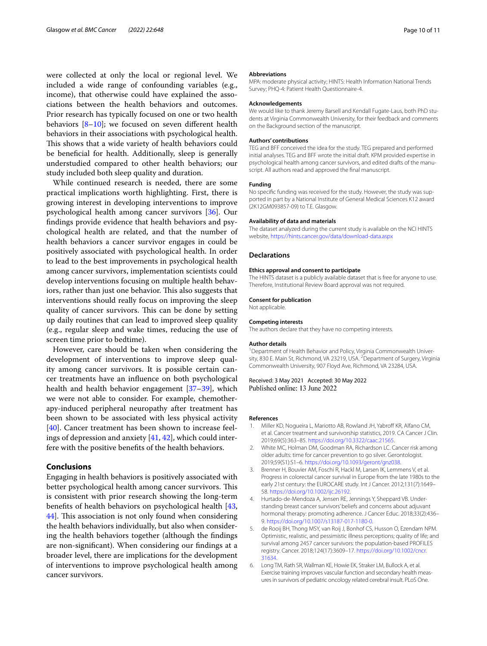were collected at only the local or regional level. We included a wide range of confounding variables (e.g., income), that otherwise could have explained the associations between the health behaviors and outcomes. Prior research has typically focused on one or two health behaviors  $[8-10]$  $[8-10]$ ; we focused on seven different health behaviors in their associations with psychological health. This shows that a wide variety of health behaviors could be benefcial for health. Additionally, sleep is generally understudied compared to other health behaviors; our study included both sleep quality and duration.

While continued research is needed, there are some practical implications worth highlighting. First, there is growing interest in developing interventions to improve psychological health among cancer survivors [\[36](#page-10-27)]. Our fndings provide evidence that health behaviors and psychological health are related, and that the number of health behaviors a cancer survivor engages in could be positively associated with psychological health. In order to lead to the best improvements in psychological health among cancer survivors, implementation scientists could develop interventions focusing on multiple health behaviors, rather than just one behavior. This also suggests that interventions should really focus on improving the sleep quality of cancer survivors. This can be done by setting up daily routines that can lead to improved sleep quality (e.g., regular sleep and wake times, reducing the use of screen time prior to bedtime).

However, care should be taken when considering the development of interventions to improve sleep quality among cancer survivors. It is possible certain cancer treatments have an infuence on both psychological health and health behavior engagement [[37–](#page-10-28)[39](#page-10-29)], which we were not able to consider. For example, chemotherapy-induced peripheral neuropathy after treatment has been shown to be associated with less physical activity [[40\]](#page-10-30). Cancer treatment has been shown to increase feelings of depression and anxiety [\[41](#page-10-31), [42](#page-10-32)], which could interfere with the positive benefts of the health behaviors.

## **Conclusions**

Engaging in health behaviors is positively associated with better psychological health among cancer survivors. This is consistent with prior research showing the long-term benefts of health behaviors on psychological health [\[43](#page-10-33), [44\]](#page-10-34). This association is not only found when considering the health behaviors individually, but also when considering the health behaviors together (although the fndings are non-signifcant). When considering our fndings at a broader level, there are implications for the development of interventions to improve psychological health among cancer survivors.

#### **Abbreviations**

MPA: moderate physical activity; HINTS: Health Information National Trends Survey; PHQ-4: Patient Health Questionnaire-4.

#### **Acknowledgements**

We would like to thank Jeremy Barsell and Kendall Fugate-Laus, both PhD students at Virginia Commonwealth University, for their feedback and comments on the Background section of the manuscript.

#### **Authors' contributions**

TEG and BFF conceived the idea for the study. TEG prepared and performed initial analyses. TEG and BFF wrote the initial draft. KPM provided expertise in psychological health among cancer survivors, and edited drafts of the manuscript. All authors read and approved the fnal manuscript.

#### **Funding**

No specifc funding was received for the study. However, the study was supported in part by a National Institute of General Medical Sciences K12 award (2K12GM093857-09) to T.E. Glasgow.

## **Availability of data and materials**

The dataset analyzed during the current study is available on the NCI HINTS website,<https://hints.cancer.gov/data/download-data.aspx>

#### **Declarations**

#### **Ethics approval and consent to participate**

The HINTS dataset is a publicly available dataset that is free for anyone to use. Therefore, Institutional Review Board approval was not required.

## **Consent for publication**

Not applicable.

# **Competing interests**

The authors declare that they have no competing interests.

#### **Author details**

<sup>1</sup> Department of Health Behavior and Policy, Virginia Commonwealth University, 830 E. Main St, Richmond, VA 23219, USA. <sup>2</sup> Department of Surgery, Virginia Commonwealth University, 907 Floyd Ave, Richmond, VA 23284, USA.

Received: 3 May 2021 Accepted: 30 May 2022<br>Published online: 13 June 2022

#### **References**

- <span id="page-9-0"></span>Miller KD, Nogueira L, Mariotto AB, Rowland JH, Yabroff KR, Alfano CM, et al. Cancer treatment and survivorship statistics, 2019. CA Cancer J Clin. 2019;69(5):363–85. [https://doi.org/10.3322/caac.21565.](https://doi.org/10.3322/caac.21565)
- <span id="page-9-1"></span>2. White MC, Holman DM, Goodman RA, Richardson LC. Cancer risk among older adults: time for cancer prevention to go silver. Gerontologist. 2019;59(S1):S1–6. [https://doi.org/10.1093/geront/gnz038.](https://doi.org/10.1093/geront/gnz038)
- <span id="page-9-2"></span>3. Brenner H, Bouvier AM, Foschi R, Hackl M, Larsen IK, Lemmens V, et al. Progress in colorectal cancer survival in Europe from the late 1980s to the early 21st century: the EUROCARE study. Int J Cancer. 2012;131(7):1649– 58. [https://doi.org/10.1002/ijc.26192.](https://doi.org/10.1002/ijc.26192)
- <span id="page-9-3"></span>4. Hurtado-de-Mendoza A, Jensen RE, Jennings Y, Sheppard VB. Understanding breast cancer survivors' beliefs and concerns about adjuvant hormonal therapy: promoting adherence. J Cancer Educ. 2018;33(2):436– 9.<https://doi.org/10.1007/s13187-017-1180-0>.
- <span id="page-9-4"></span>5. de Rooij BH, Thong MSY, van Roij J, Bonhof CS, Husson O, Ezendam NPM. Optimistic, realistic, and pessimistic illness perceptions; quality of life; and survival among 2457 cancer survivors: the population-based PROFILES registry. Cancer. 2018;124(17):3609–17. [https://doi.org/10.1002/cncr.](https://doi.org/10.1002/cncr.31634) [31634](https://doi.org/10.1002/cncr.31634).
- <span id="page-9-5"></span>6. Long TM, Rath SR, Wallman KE, Howie EK, Straker LM, Bullock A, et al. Exercise training improves vascular function and secondary health measures in survivors of pediatric oncology related cerebral insult. PLoS One.